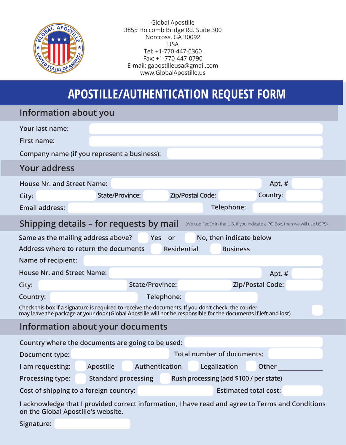

Global Apostille 3855 Holcomb Bridge Rd. Suite 300 Norcross, GA 30092 USA Tel: +1-770-447-0360 Fax: +1-770-447-0790 E-mail: gapostilleusa@gmail.com www.GlobalApostille.us

## **APOSTILLE/AUTHENTICATION REQUEST FORM**

| Information about you                                                                                                                                                                                                   |                                   |                                         |                              |          |  |
|-------------------------------------------------------------------------------------------------------------------------------------------------------------------------------------------------------------------------|-----------------------------------|-----------------------------------------|------------------------------|----------|--|
| Your last name:                                                                                                                                                                                                         |                                   |                                         |                              |          |  |
| <b>First name:</b>                                                                                                                                                                                                      |                                   |                                         |                              |          |  |
| Company name (if you represent a business):                                                                                                                                                                             |                                   |                                         |                              |          |  |
| <b>Your address</b>                                                                                                                                                                                                     |                                   |                                         |                              |          |  |
| <b>House Nr. and Street Name:</b>                                                                                                                                                                                       |                                   |                                         |                              | Apt. #   |  |
| City:                                                                                                                                                                                                                   | <b>State/Province:</b>            | <b>Zip/Postal Code:</b>                 |                              | Country: |  |
| <b>Email address:</b>                                                                                                                                                                                                   |                                   |                                         | Telephone:                   |          |  |
| Shipping details – for requests by mail<br>(We use FedEx in the U.S. If you indicate a PO Box, then we will use USPS).                                                                                                  |                                   |                                         |                              |          |  |
| Same as the mailing address above?                                                                                                                                                                                      |                                   | Yes or                                  | No, then indicate below      |          |  |
| Address where to return the documents                                                                                                                                                                                   |                                   | <b>Residential</b>                      | <b>Business</b>              |          |  |
| Name of recipient:                                                                                                                                                                                                      |                                   |                                         |                              |          |  |
| <b>House Nr. and Street Name:</b>                                                                                                                                                                                       |                                   |                                         |                              | Apt. $#$ |  |
| City:                                                                                                                                                                                                                   | <b>State/Province:</b>            |                                         | <b>Zip/Postal Code:</b>      |          |  |
| Country:                                                                                                                                                                                                                |                                   | Telephone:                              |                              |          |  |
| Check this box if a signature is required to receive the documents. If you don't check, the courier<br>may leave the package at your door (Global Apostille will not be responsible for the documents if left and lost) |                                   |                                         |                              |          |  |
|                                                                                                                                                                                                                         | Information about your documents  |                                         |                              |          |  |
| Country where the documents are going to be used:                                                                                                                                                                       |                                   |                                         |                              |          |  |
| Document type:                                                                                                                                                                                                          | <b>Total number of documents:</b> |                                         |                              |          |  |
| I am requesting:                                                                                                                                                                                                        | <b>Apostille</b>                  | Authentication                          | Legalization                 | Other    |  |
| <b>Processing type:</b>                                                                                                                                                                                                 | <b>Standard processing</b>        | Rush processing (add \$100 / per state) |                              |          |  |
| Cost of shipping to a foreign country:                                                                                                                                                                                  |                                   |                                         | <b>Estimated total cost:</b> |          |  |
| I acknowledge that I provided correct information, I have read and agree to Terms and Conditions                                                                                                                        |                                   |                                         |                              |          |  |

**on the Global Apostille's website.**

**Signature:**